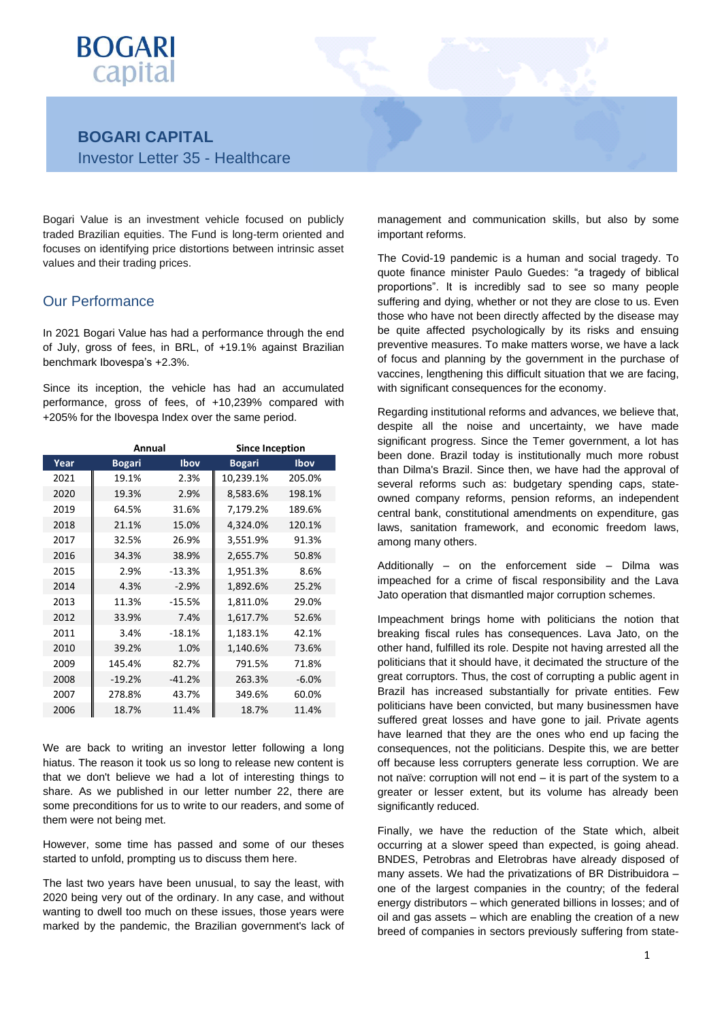

# **BOGARI CAPITAL** Investor Letter 35 - Healthcare

Bogari Value is an investment vehicle focused on publicly traded Brazilian equities. The Fund is long-term oriented and focuses on identifying price distortions between intrinsic asset values and their trading prices.

## Our Performance

In 2021 Bogari Value has had a performance through the end of July, gross of fees, in BRL, of +19.1% against Brazilian benchmark Ibovespa's +2.3%.

Since its inception, the vehicle has had an accumulated performance, gross of fees, of +10,239% compared with +205% for the Ibovespa Index over the same period.

|      | Annual        |          | <b>Since Inception</b> |             |  |  |
|------|---------------|----------|------------------------|-------------|--|--|
| Year | <b>Bogari</b> | Ibov     | <b>Bogari</b>          | <b>Ibov</b> |  |  |
| 2021 | 19.1%         | 2.3%     | 10,239.1%              | 205.0%      |  |  |
| 2020 | 19.3%         | 2.9%     | 8,583.6%               | 198.1%      |  |  |
| 2019 | 64.5%         | 31.6%    | 7,179.2%               | 189.6%      |  |  |
| 2018 | 21.1%         | 15.0%    | 4,324.0%               | 120.1%      |  |  |
| 2017 | 32.5%         | 26.9%    | 3,551.9%               | 91.3%       |  |  |
| 2016 | 34.3%         | 38.9%    | 2,655.7%               | 50.8%       |  |  |
| 2015 | 2.9%          | $-13.3%$ | 1,951.3%               | 8.6%        |  |  |
| 2014 | 4.3%          | $-2.9%$  | 1,892.6%               | 25.2%       |  |  |
| 2013 | 11.3%         | $-15.5%$ | 1,811.0%               | 29.0%       |  |  |
| 2012 | 33.9%         | 7.4%     | 1,617.7%               | 52.6%       |  |  |
| 2011 | 3.4%          | $-18.1%$ | 1,183.1%               | 42.1%       |  |  |
| 2010 | 39.2%         | 1.0%     | 1,140.6%               | 73.6%       |  |  |
| 2009 | 145.4%        | 82.7%    | 791.5%                 | 71.8%       |  |  |
| 2008 | $-19.2%$      | $-41.2%$ | 263.3%                 | $-6.0%$     |  |  |
| 2007 | 278.8%        | 43.7%    | 349.6%                 | 60.0%       |  |  |
| 2006 | 18.7%         | 11.4%    | 18.7%                  | 11.4%       |  |  |

We are back to writing an investor letter following a long hiatus. The reason it took us so long to release new content is that we don't believe we had a lot of interesting things to share. As we published in our letter number 22, there are some preconditions for us to write to our readers, and some of them were not being met.

However, some time has passed and some of our theses started to unfold, prompting us to discuss them here.

The last two years have been unusual, to say the least, with 2020 being very out of the ordinary. In any case, and without wanting to dwell too much on these issues, those years were marked by the pandemic, the Brazilian government's lack of management and communication skills, but also by some important reforms.

The Covid-19 pandemic is a human and social tragedy. To quote finance minister Paulo Guedes: "a tragedy of biblical proportions". It is incredibly sad to see so many people suffering and dying, whether or not they are close to us. Even those who have not been directly affected by the disease may be quite affected psychologically by its risks and ensuing preventive measures. To make matters worse, we have a lack of focus and planning by the government in the purchase of vaccines, lengthening this difficult situation that we are facing, with significant consequences for the economy.

Regarding institutional reforms and advances, we believe that, despite all the noise and uncertainty, we have made significant progress. Since the Temer government, a lot has been done. Brazil today is institutionally much more robust than Dilma's Brazil. Since then, we have had the approval of several reforms such as: budgetary spending caps, stateowned company reforms, pension reforms, an independent central bank, constitutional amendments on expenditure, gas laws, sanitation framework, and economic freedom laws, among many others.

Additionally – on the enforcement side – Dilma was impeached for a crime of fiscal responsibility and the Lava Jato operation that dismantled major corruption schemes.

Impeachment brings home with politicians the notion that breaking fiscal rules has consequences. Lava Jato, on the other hand, fulfilled its role. Despite not having arrested all the politicians that it should have, it decimated the structure of the great corruptors. Thus, the cost of corrupting a public agent in Brazil has increased substantially for private entities. Few politicians have been convicted, but many businessmen have suffered great losses and have gone to jail. Private agents have learned that they are the ones who end up facing the consequences, not the politicians. Despite this, we are better off because less corrupters generate less corruption. We are not naïve: corruption will not end – it is part of the system to a greater or lesser extent, but its volume has already been significantly reduced.

Finally, we have the reduction of the State which, albeit occurring at a slower speed than expected, is going ahead. BNDES, Petrobras and Eletrobras have already disposed of many assets. We had the privatizations of BR Distribuidora – one of the largest companies in the country; of the federal energy distributors – which generated billions in losses; and of oil and gas assets – which are enabling the creation of a new breed of companies in sectors previously suffering from state-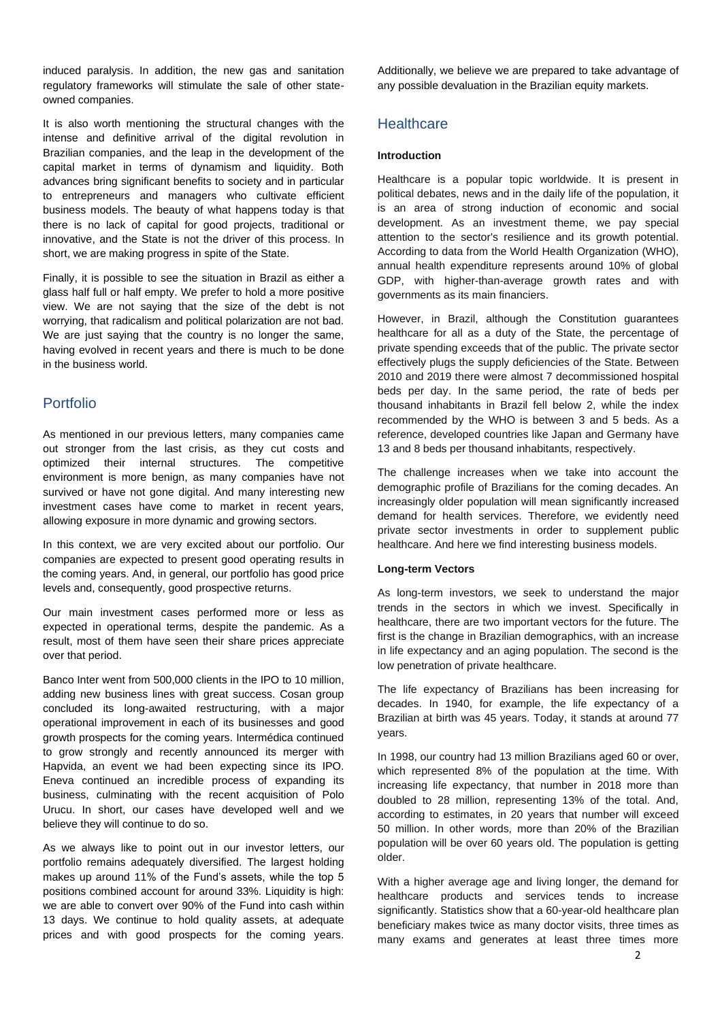induced paralysis. In addition, the new gas and sanitation regulatory frameworks will stimulate the sale of other stateowned companies.

It is also worth mentioning the structural changes with the intense and definitive arrival of the digital revolution in Brazilian companies, and the leap in the development of the capital market in terms of dynamism and liquidity. Both advances bring significant benefits to society and in particular to entrepreneurs and managers who cultivate efficient business models. The beauty of what happens today is that there is no lack of capital for good projects, traditional or innovative, and the State is not the driver of this process. In short, we are making progress in spite of the State.

Finally, it is possible to see the situation in Brazil as either a glass half full or half empty. We prefer to hold a more positive view. We are not saying that the size of the debt is not worrying, that radicalism and political polarization are not bad. We are just saying that the country is no longer the same, having evolved in recent years and there is much to be done in the business world.

# Portfolio

As mentioned in our previous letters, many companies came out stronger from the last crisis, as they cut costs and optimized their internal structures. The competitive environment is more benign, as many companies have not survived or have not gone digital. And many interesting new investment cases have come to market in recent years, allowing exposure in more dynamic and growing sectors.

In this context, we are very excited about our portfolio. Our companies are expected to present good operating results in the coming years. And, in general, our portfolio has good price levels and, consequently, good prospective returns.

Our main investment cases performed more or less as expected in operational terms, despite the pandemic. As a result, most of them have seen their share prices appreciate over that period.

Banco Inter went from 500,000 clients in the IPO to 10 million, adding new business lines with great success. Cosan group concluded its long-awaited restructuring, with a major operational improvement in each of its businesses and good growth prospects for the coming years. Intermédica continued to grow strongly and recently announced its merger with Hapvida, an event we had been expecting since its IPO. Eneva continued an incredible process of expanding its business, culminating with the recent acquisition of Polo Urucu. In short, our cases have developed well and we believe they will continue to do so.

As we always like to point out in our investor letters, our portfolio remains adequately diversified. The largest holding makes up around 11% of the Fund's assets, while the top 5 positions combined account for around 33%. Liquidity is high: we are able to convert over 90% of the Fund into cash within 13 days. We continue to hold quality assets, at adequate prices and with good prospects for the coming years. Additionally, we believe we are prepared to take advantage of any possible devaluation in the Brazilian equity markets.

# **Healthcare**

## **Introduction**

Healthcare is a popular topic worldwide. It is present in political debates, news and in the daily life of the population, it is an area of strong induction of economic and social development. As an investment theme, we pay special attention to the sector's resilience and its growth potential. According to data from the World Health Organization (WHO), annual health expenditure represents around 10% of global GDP, with higher-than-average growth rates and with governments as its main financiers.

However, in Brazil, although the Constitution guarantees healthcare for all as a duty of the State, the percentage of private spending exceeds that of the public. The private sector effectively plugs the supply deficiencies of the State. Between 2010 and 2019 there were almost 7 decommissioned hospital beds per day. In the same period, the rate of beds per thousand inhabitants in Brazil fell below 2, while the index recommended by the WHO is between 3 and 5 beds. As a reference, developed countries like Japan and Germany have 13 and 8 beds per thousand inhabitants, respectively.

The challenge increases when we take into account the demographic profile of Brazilians for the coming decades. An increasingly older population will mean significantly increased demand for health services. Therefore, we evidently need private sector investments in order to supplement public healthcare. And here we find interesting business models.

#### **Long-term Vectors**

As long-term investors, we seek to understand the major trends in the sectors in which we invest. Specifically in healthcare, there are two important vectors for the future. The first is the change in Brazilian demographics, with an increase in life expectancy and an aging population. The second is the low penetration of private healthcare.

The life expectancy of Brazilians has been increasing for decades. In 1940, for example, the life expectancy of a Brazilian at birth was 45 years. Today, it stands at around 77 years.

In 1998, our country had 13 million Brazilians aged 60 or over, which represented 8% of the population at the time. With increasing life expectancy, that number in 2018 more than doubled to 28 million, representing 13% of the total. And, according to estimates, in 20 years that number will exceed 50 million. In other words, more than 20% of the Brazilian population will be over 60 years old. The population is getting older.

With a higher average age and living longer, the demand for healthcare products and services tends to increase significantly. Statistics show that a 60-year-old healthcare plan beneficiary makes twice as many doctor visits, three times as many exams and generates at least three times more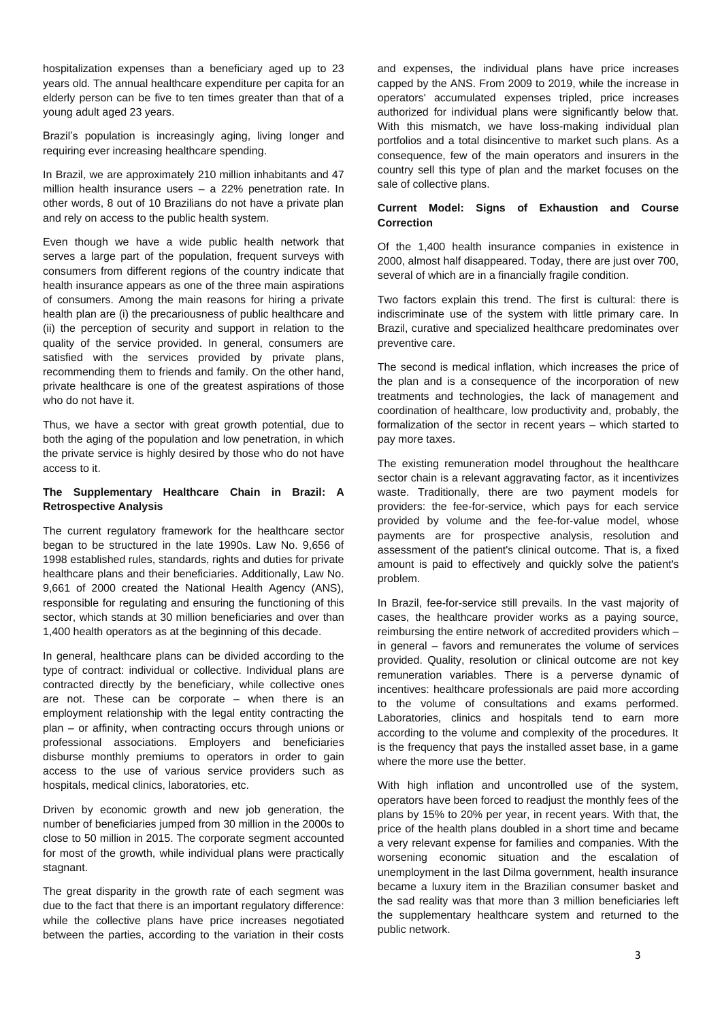hospitalization expenses than a beneficiary aged up to 23 years old. The annual healthcare expenditure per capita for an elderly person can be five to ten times greater than that of a young adult aged 23 years.

Brazil's population is increasingly aging, living longer and requiring ever increasing healthcare spending.

In Brazil, we are approximately 210 million inhabitants and 47 million health insurance users – a 22% penetration rate. In other words, 8 out of 10 Brazilians do not have a private plan and rely on access to the public health system.

Even though we have a wide public health network that serves a large part of the population, frequent surveys with consumers from different regions of the country indicate that health insurance appears as one of the three main aspirations of consumers. Among the main reasons for hiring a private health plan are (i) the precariousness of public healthcare and (ii) the perception of security and support in relation to the quality of the service provided. In general, consumers are satisfied with the services provided by private plans, recommending them to friends and family. On the other hand, private healthcare is one of the greatest aspirations of those who do not have it.

Thus, we have a sector with great growth potential, due to both the aging of the population and low penetration, in which the private service is highly desired by those who do not have access to it.

### **The Supplementary Healthcare Chain in Brazil: A Retrospective Analysis**

The current regulatory framework for the healthcare sector began to be structured in the late 1990s. Law No. 9,656 of 1998 established rules, standards, rights and duties for private healthcare plans and their beneficiaries. Additionally, Law No. 9,661 of 2000 created the National Health Agency (ANS), responsible for regulating and ensuring the functioning of this sector, which stands at 30 million beneficiaries and over than 1,400 health operators as at the beginning of this decade.

In general, healthcare plans can be divided according to the type of contract: individual or collective. Individual plans are contracted directly by the beneficiary, while collective ones are not. These can be corporate – when there is an employment relationship with the legal entity contracting the plan – or affinity, when contracting occurs through unions or professional associations. Employers and beneficiaries disburse monthly premiums to operators in order to gain access to the use of various service providers such as hospitals, medical clinics, laboratories, etc.

Driven by economic growth and new job generation, the number of beneficiaries jumped from 30 million in the 2000s to close to 50 million in 2015. The corporate segment accounted for most of the growth, while individual plans were practically stagnant.

The great disparity in the growth rate of each segment was due to the fact that there is an important regulatory difference: while the collective plans have price increases negotiated between the parties, according to the variation in their costs and expenses, the individual plans have price increases capped by the ANS. From 2009 to 2019, while the increase in operators' accumulated expenses tripled, price increases authorized for individual plans were significantly below that. With this mismatch, we have loss-making individual plan portfolios and a total disincentive to market such plans. As a consequence, few of the main operators and insurers in the country sell this type of plan and the market focuses on the sale of collective plans.

### **Current Model: Signs of Exhaustion and Course Correction**

Of the 1,400 health insurance companies in existence in 2000, almost half disappeared. Today, there are just over 700, several of which are in a financially fragile condition.

Two factors explain this trend. The first is cultural: there is indiscriminate use of the system with little primary care. In Brazil, curative and specialized healthcare predominates over preventive care.

The second is medical inflation, which increases the price of the plan and is a consequence of the incorporation of new treatments and technologies, the lack of management and coordination of healthcare, low productivity and, probably, the formalization of the sector in recent years – which started to pay more taxes.

The existing remuneration model throughout the healthcare sector chain is a relevant aggravating factor, as it incentivizes waste. Traditionally, there are two payment models for providers: the fee-for-service, which pays for each service provided by volume and the fee-for-value model, whose payments are for prospective analysis, resolution and assessment of the patient's clinical outcome. That is, a fixed amount is paid to effectively and quickly solve the patient's problem.

In Brazil, fee-for-service still prevails. In the vast majority of cases, the healthcare provider works as a paying source, reimbursing the entire network of accredited providers which – in general – favors and remunerates the volume of services provided. Quality, resolution or clinical outcome are not key remuneration variables. There is a perverse dynamic of incentives: healthcare professionals are paid more according to the volume of consultations and exams performed. Laboratories, clinics and hospitals tend to earn more according to the volume and complexity of the procedures. It is the frequency that pays the installed asset base, in a game where the more use the better.

With high inflation and uncontrolled use of the system, operators have been forced to readjust the monthly fees of the plans by 15% to 20% per year, in recent years. With that, the price of the health plans doubled in a short time and became a very relevant expense for families and companies. With the worsening economic situation and the escalation of unemployment in the last Dilma government, health insurance became a luxury item in the Brazilian consumer basket and the sad reality was that more than 3 million beneficiaries left the supplementary healthcare system and returned to the public network.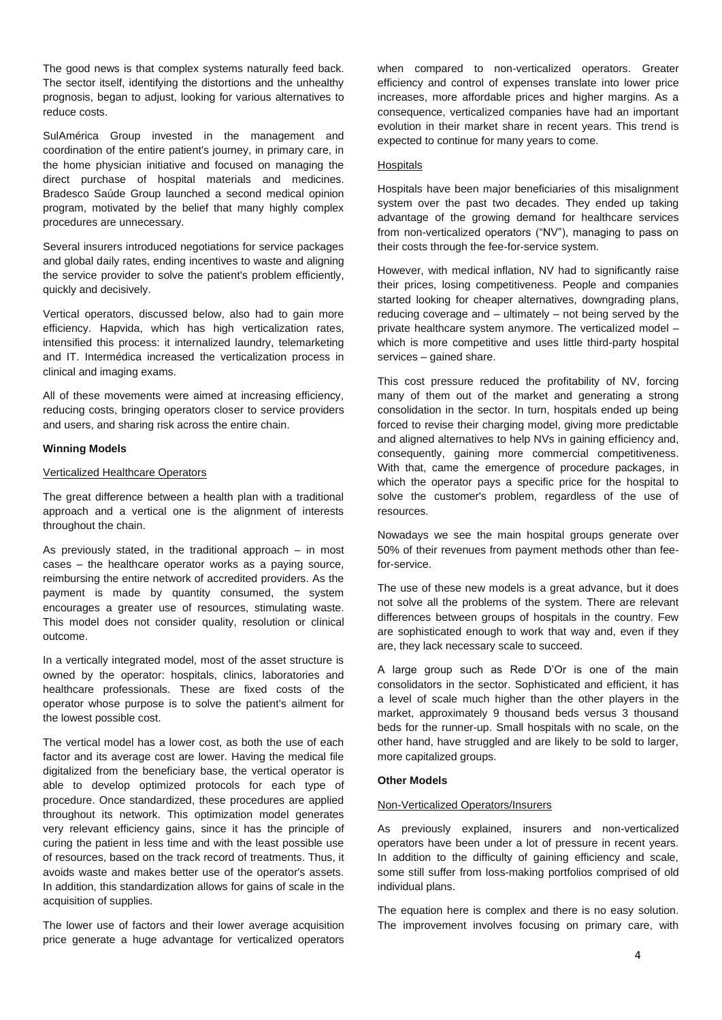The good news is that complex systems naturally feed back. The sector itself, identifying the distortions and the unhealthy prognosis, began to adjust, looking for various alternatives to reduce costs.

SulAmérica Group invested in the management and coordination of the entire patient's journey, in primary care, in the home physician initiative and focused on managing the direct purchase of hospital materials and medicines. Bradesco Saúde Group launched a second medical opinion program, motivated by the belief that many highly complex procedures are unnecessary.

Several insurers introduced negotiations for service packages and global daily rates, ending incentives to waste and aligning the service provider to solve the patient's problem efficiently, quickly and decisively.

Vertical operators, discussed below, also had to gain more efficiency. Hapvida, which has high verticalization rates, intensified this process: it internalized laundry, telemarketing and IT. Intermédica increased the verticalization process in clinical and imaging exams.

All of these movements were aimed at increasing efficiency, reducing costs, bringing operators closer to service providers and users, and sharing risk across the entire chain.

#### **Winning Models**

#### Verticalized Healthcare Operators

The great difference between a health plan with a traditional approach and a vertical one is the alignment of interests throughout the chain.

As previously stated, in the traditional approach  $-$  in most cases – the healthcare operator works as a paying source, reimbursing the entire network of accredited providers. As the payment is made by quantity consumed, the system encourages a greater use of resources, stimulating waste. This model does not consider quality, resolution or clinical outcome.

In a vertically integrated model, most of the asset structure is owned by the operator: hospitals, clinics, laboratories and healthcare professionals. These are fixed costs of the operator whose purpose is to solve the patient's ailment for the lowest possible cost.

The vertical model has a lower cost, as both the use of each factor and its average cost are lower. Having the medical file digitalized from the beneficiary base, the vertical operator is able to develop optimized protocols for each type of procedure. Once standardized, these procedures are applied throughout its network. This optimization model generates very relevant efficiency gains, since it has the principle of curing the patient in less time and with the least possible use of resources, based on the track record of treatments. Thus, it avoids waste and makes better use of the operator's assets. In addition, this standardization allows for gains of scale in the acquisition of supplies.

The lower use of factors and their lower average acquisition price generate a huge advantage for verticalized operators

when compared to non-verticalized operators. Greater efficiency and control of expenses translate into lower price increases, more affordable prices and higher margins. As a consequence, verticalized companies have had an important evolution in their market share in recent years. This trend is expected to continue for many years to come.

#### Hospitals

Hospitals have been major beneficiaries of this misalignment system over the past two decades. They ended up taking advantage of the growing demand for healthcare services from non-verticalized operators ("NV"), managing to pass on their costs through the fee-for-service system.

However, with medical inflation, NV had to significantly raise their prices, losing competitiveness. People and companies started looking for cheaper alternatives, downgrading plans, reducing coverage and – ultimately – not being served by the private healthcare system anymore. The verticalized model – which is more competitive and uses little third-party hospital services – gained share.

This cost pressure reduced the profitability of NV, forcing many of them out of the market and generating a strong consolidation in the sector. In turn, hospitals ended up being forced to revise their charging model, giving more predictable and aligned alternatives to help NVs in gaining efficiency and, consequently, gaining more commercial competitiveness. With that, came the emergence of procedure packages, in which the operator pays a specific price for the hospital to solve the customer's problem, regardless of the use of resources.

Nowadays we see the main hospital groups generate over 50% of their revenues from payment methods other than feefor-service.

The use of these new models is a great advance, but it does not solve all the problems of the system. There are relevant differences between groups of hospitals in the country. Few are sophisticated enough to work that way and, even if they are, they lack necessary scale to succeed.

A large group such as Rede D'Or is one of the main consolidators in the sector. Sophisticated and efficient, it has a level of scale much higher than the other players in the market, approximately 9 thousand beds versus 3 thousand beds for the runner-up. Small hospitals with no scale, on the other hand, have struggled and are likely to be sold to larger, more capitalized groups.

#### **Other Models**

### Non-Verticalized Operators/Insurers

As previously explained, insurers and non-verticalized operators have been under a lot of pressure in recent years. In addition to the difficulty of gaining efficiency and scale, some still suffer from loss-making portfolios comprised of old individual plans.

The equation here is complex and there is no easy solution. The improvement involves focusing on primary care, with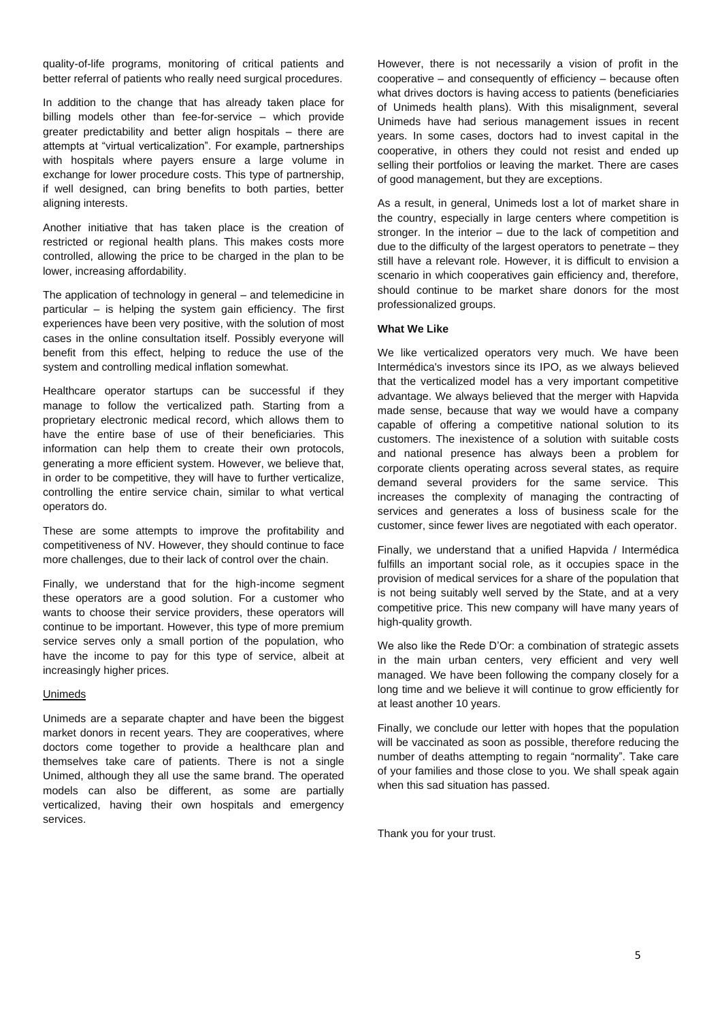quality-of-life programs, monitoring of critical patients and better referral of patients who really need surgical procedures.

In addition to the change that has already taken place for billing models other than fee-for-service – which provide greater predictability and better align hospitals – there are attempts at "virtual verticalization". For example, partnerships with hospitals where payers ensure a large volume in exchange for lower procedure costs. This type of partnership, if well designed, can bring benefits to both parties, better aligning interests.

Another initiative that has taken place is the creation of restricted or regional health plans. This makes costs more controlled, allowing the price to be charged in the plan to be lower, increasing affordability.

The application of technology in general – and telemedicine in particular – is helping the system gain efficiency. The first experiences have been very positive, with the solution of most cases in the online consultation itself. Possibly everyone will benefit from this effect, helping to reduce the use of the system and controlling medical inflation somewhat.

Healthcare operator startups can be successful if they manage to follow the verticalized path. Starting from a proprietary electronic medical record, which allows them to have the entire base of use of their beneficiaries. This information can help them to create their own protocols, generating a more efficient system. However, we believe that, in order to be competitive, they will have to further verticalize, controlling the entire service chain, similar to what vertical operators do.

These are some attempts to improve the profitability and competitiveness of NV. However, they should continue to face more challenges, due to their lack of control over the chain.

Finally, we understand that for the high-income segment these operators are a good solution. For a customer who wants to choose their service providers, these operators will continue to be important. However, this type of more premium service serves only a small portion of the population, who have the income to pay for this type of service, albeit at increasingly higher prices.

## Unimeds

Unimeds are a separate chapter and have been the biggest market donors in recent years. They are cooperatives, where doctors come together to provide a healthcare plan and themselves take care of patients. There is not a single Unimed, although they all use the same brand. The operated models can also be different, as some are partially verticalized, having their own hospitals and emergency services.

However, there is not necessarily a vision of profit in the cooperative – and consequently of efficiency – because often what drives doctors is having access to patients (beneficiaries of Unimeds health plans). With this misalignment, several Unimeds have had serious management issues in recent years. In some cases, doctors had to invest capital in the cooperative, in others they could not resist and ended up selling their portfolios or leaving the market. There are cases of good management, but they are exceptions.

As a result, in general, Unimeds lost a lot of market share in the country, especially in large centers where competition is stronger. In the interior – due to the lack of competition and due to the difficulty of the largest operators to penetrate – they still have a relevant role. However, it is difficult to envision a scenario in which cooperatives gain efficiency and, therefore, should continue to be market share donors for the most professionalized groups.

#### **What We Like**

We like verticalized operators very much. We have been Intermédica's investors since its IPO, as we always believed that the verticalized model has a very important competitive advantage. We always believed that the merger with Hapvida made sense, because that way we would have a company capable of offering a competitive national solution to its customers. The inexistence of a solution with suitable costs and national presence has always been a problem for corporate clients operating across several states, as require demand several providers for the same service. This increases the complexity of managing the contracting of services and generates a loss of business scale for the customer, since fewer lives are negotiated with each operator.

Finally, we understand that a unified Hapvida / Intermédica fulfills an important social role, as it occupies space in the provision of medical services for a share of the population that is not being suitably well served by the State, and at a very competitive price. This new company will have many years of high-quality growth.

We also like the Rede D'Or: a combination of strategic assets in the main urban centers, very efficient and very well managed. We have been following the company closely for a long time and we believe it will continue to grow efficiently for at least another 10 years.

Finally, we conclude our letter with hopes that the population will be vaccinated as soon as possible, therefore reducing the number of deaths attempting to regain "normality". Take care of your families and those close to you. We shall speak again when this sad situation has passed.

Thank you for your trust.